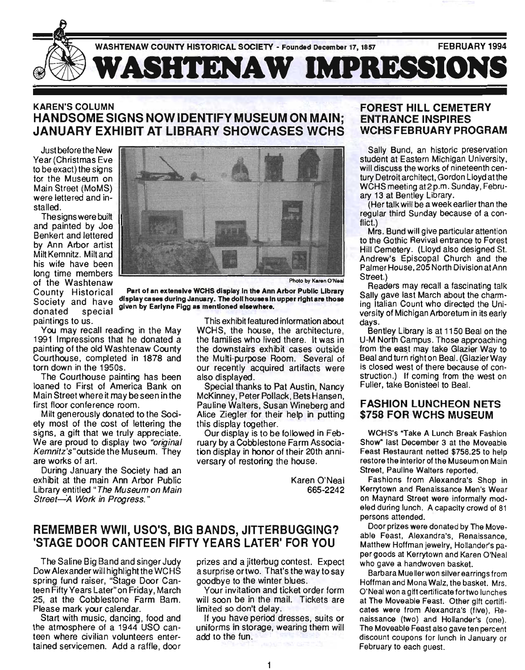

## KAREN'S COLUMN HANDSOME SIGNS NOW IDENTIFY MUSEUM ON MAIN; JANUARY EXHIBIT AT LIBRARY SHOWCASES WCHS

Just before the New Year (Christmas Eve to be exact) the signs for the Museum on Main Street (MoMS) were lettered and installed.

The signs were built and painted by Joe Benkert and lettered by Ann Arbor artist Milt Kemnitz. Miltand his wife have been long time members of the Washtenaw Photo by Karen O'Neal paintings to us.

You may recall reading in the May 1991 Impressions that he donated a painting of the old Washtenaw County Courthouse, completed in 1878 and torn down in the 1950s.

The Courthouse painting has been loaned to First of America Bank on Main Street where it may be seen in the first floor conference room.

Milt generously donated to the Society most of the cost of lettering the signs, a gift that we truly appreciate. We are proud to display two "original Kemnitz's "outside the Museum. They are works of art.

During January the Society had an exhibit at the main Ann Arbor Public Library entitled "The Museum on Main Street-A Work in Progress."



County Historical Part of an extensive WCHS display In the Ann Arbor Public Library Society and have display cases during January. The doll houses in upper right are those donated special given by Earlyne Figg as mentioned elsewhere.

This exhibit featu red information about WCHS, the house, the architecture, the families who lived there. It was in the downstairs exhibit cases outside the Multi-purpose Room. Several of our recently acquired artifacts were also displayed.

Special thanks to Pat Austin, Nancy McKinney, Peter Pollack, Bets Hansen, Pauline Walters, Susan Wineberg and Alice Ziegler for their help in putting this display together.

Our display is to be followed in February by a Cobblestone Farm Association display in honor of their 20th anniversary of restoring the house.

> Karen O'Neal 665-2242

# REMEMBER WWII, USO'S, BIG BANDS, JITTERBUGGING? 'STAGE DOOR CANTEEN FIFTY YEARS LATER' FOR YOU

The Saline Big Band and singer Judy Dow Alexander will highlight the WCHS spring fund raiser, "Stage Door Canteen Fifty Years Later"on Friday, March 25, at the Cobblestone Farm Bam. Please mark your calendar.

Start with music, dancing, food and the atmosphere of a 1944 USO canteen where civilian volunteers entertained servicemen. Add a raffle, door prizes and a jitterbug contest. Expect a surprise ortwo. That's the way to say goodbye to the winter blues.

Your invitation and ticket order form will soon be in the mail. Tickets are limited so don't delay.

If you have period dresses, suits or uniforms in storage, wearing them will add to the fun.

#### FOREST HILL CEMETERY ENTRANCE INSPIRES WCHSFEBRUARYPROGRAM

Sally Bund, an historic preservation student at Eastern Michigan University, will discuss the works of nineteenth century Detroit architect, Gordon Lloyd at the WCHS meeting at2 p.m. Sunday, February 13 at Bentley Library.

(Her talk will be a week earlier than the regular third Sunday because of a conflict.)

Mrs. Bund will give particular attention to the Gothic Revival entrance to Forest Hill Cemetery. (Lloyd also designed St. Andrew's Episcopal Church and the Palmer House, 205 North Division at Ann Street.)

Readers may recall a fascinating talk Sally gave last March about the charming Italian Count who directed the University of Michigan Arboretum in its early days.

Bentley Library is at 1150 Beal on the U-M North Campus. Those approaching from the east may take Glazier Way to Beal and turn right on Beal. (Glazier Way is closed west of there because of construction.) If coming from the west on Fuller, take Bonisteel to Beal.

#### FASHION LUNCHEON NETS \$758 FOR WCHS MUSEUM

WCHS's "Take A Lunch Break Fashion Show" last December 3 at the Moveable Feast Restaurant netted \$758.25 to help restore the interior of the Museum on Main Street, Pauline Walters reported.

Fashions from Alexandra's Shop in Kerrytown and Renaissance Men's Wear on Maynard Street were informally modeled during lunch. A capacity crowd of 81 persons attended.

Door prizes were donated by The Moveable Feast, Alexandra's, Renaissance, Matthew Hoffman jewelry, Hollander's paper goods at Kerrytown and Karen O'Neal who gave a handwoven basket.

Barbara Muellerwon silver earrings from Hoffman and Mona Walz, the basket. Mrs. O'Neal won a gift certificate fortwo lunches at The Moveable Feast. Other gift certificates were from Alexandra's (fiVe), Renaissance (two) and Hollander's (one). The Moveable Feast also gave ten percent discount coupons for lunch in January or February to each guest.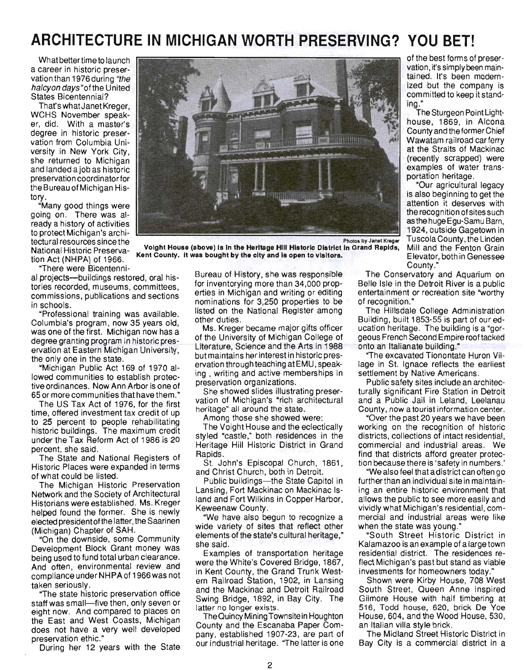# **ARCHITECTURE IN MICHIGAN WORTH PRESERVING? YOU BET!**

What better time to launch a career in historic preservation than 1976 during "the halcyon days "of the United States Bicentennial?

That's whatJanet Kreger, WCHS November speaker, did. With a master's degree in historic preservation from Columbia University in New York City, she returned to Michigan and landed ajob as historic preservation coordinator for the Bureau of Michigan History.

"Many good things were aoing on. There was already a history of activities to protect Michigan'S architectural resources since the National Historic Preservation Act (NHPA) of 1966.

County." "There were Bicentenni-

al projects-buildings restored, oral histories recorded, museums, committees, commissions, publications and sections in schools.

"Professional training was available. Columbia's program, now 35 years old, was one of the first. Michigan now has a degree granting program in historic preservation at Eastern Michigan University, the only one in the state.

"Michigan Public Act 169 of 1970 allowed communities to establish protective ordinances. Now Ann Arbor is one of 65 or more communities that have them."

The US Tax Act of 1976, for the first time, offered investment tax credit of up to 25 percent to people rehabilitating historic buildings. The maximum credit under the Tax Reform Act of 1986 is 20 percent, she said.

The State and National Registers of Historic Places were expanded in terms of what could be listed.

The Michigan Historic Preservation Network and the Society of Architectural Historians were established. Ms. Kreger helped found the former. She is newly elected presidentofthe latter, the Saarinen (Michigan) Chapter of SAH .

"On the downside, some Community Development Block Grant money was being used to fund total urban clearance. And often, environmental review and compliance under NHPA of 1966 was not taken seriously.

"The state historic preservation office staff was small-five then, only seven or eight now. And compared to places on the East and West Coasts, Michigan does not have a very well developed preservation ethic."

During her 12 years with the State



Voight House (above) Is In the Heritage Hili Historic District In Grand Rapids Kent County. It was bought by the city and is open to visitors.

Bureau of History, she was responsible for inventorying more than 34,000 properties in Michigan and writing or editing nominations for 3,250 properties to be listed on the National Register among other duties.

Ms. Kreger became major gifts officer of the University of Michigan College of Literature, Science and the Arts in 1988 but maintains her interest in historic preservation through teaching atEMU, speaking , writing and active memberships in preservation organizations.

She showed slides illustrating preservation of Michigan'S "rich architectural heritage" all around the state.

Among those she showed were:

The Voight House and the eclectically styled "castle," both residences in the Heritage Hill Historic District in Grand Rapids.

St. John's Episcopal Church, 1861, and Christ Church, both in Detroit.

Public buildings-the State Capitol in Lansing, Fort Mackinac on Mackinac Island and Fort Wilkins in Copper Harbor, Keweenaw County.

"We have also begun to recognize a wide variety of sites that reflect other elements of the state's cultural heritage," she said.

Examples of transportation heritage were the White's Covered Bridge, 1867, in Kent County, the Grand Trunk Western Railroad Station, 1902, in Lansing and the Mackinac and Detroit Railroad Swing Bridge, 1892, in Bay City. The latter no longer exists.

The Quincy Mining Townsite in Houghton County and the Escanaba Paper Company, established 1907-23, are part of our industrial heritage. "The latter is one

of the best forms of preservation, it's simply been maintained. It's been modernized but the company is committed to keep it standing."

The Sturgeon Point Lighthouse, 1869, in Alcona County and the former Chief Wawatam railroad car ferry at the Straits of Mackinac (recently scrapped) were examples of water transportation heritage.

"Our agricultural legacy is also beginning to get the attention it deserves with the recognition of sites such as the huge Egu-Samu Barn, 1924, outside Gagetown in Tuscola County, the Linden Mill and the Fenton Grain Elevator, both in Genessee

The Conservatory and Aquarium on Belle Isle in the Detroit River is a public entertainment or recreation site "worthy of recognition."

The Hillsdale College Administration Building, built 1853-55 is part of our education heritage. The building is a "gorgeous French Second Empire roof tacked onto an Italianate building."

"The excavated Tionontate Huron Village in St. Ignace reflects the earliest settlement by Native Americans.

Public safety sites include an architecturally significant Fire Station in Detroit and a Public Jail in Leland, Leelanau County, now a tourist information center.

"Over the past 20 years we have been working on the recognition of historic districts, collections of intact residential, commercial and industrial areas. We find that districts afford greater protection because there is 'safety in numbers.'

"We also feel that a district can often go further than an individual site in maintaining an entire historic environment that allows the public to see more easily and vividly what Michigan'S residential, commercial and industrial areas were like when the state was young."

"South Street Historic District in Kalamazoo is an example of a large town residential district. The residences reflect Michigan's past but stand as viable investments for homeowners today."

Shown were Kirby House, 708 West South Street, Queen Anne inspired Gilmore House with half timbering at 516, Todd house, 620, brick De Yoe House, 604, and the Wood House, 530, an Italian villa style brick.

The Midland Street Historic District in Bay City is a commercial district in a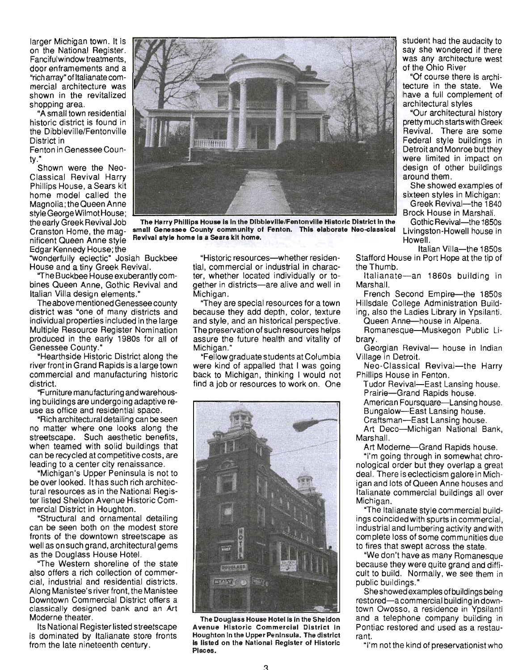larger Michigan town. It is on the National Register. Fanciful window treatments, door enframements and a "rich array" of Italianate commercial architecture was shown in the revitalized shopping area.

"A sm all town residential historic district is found in the Dibbleville/Fentonville District in

Fenton in Genessee County."

Shown were the Neo-Classical Revival Harry Phillips House, a Sears kit home model called the Magnolia; the Queen Anne style George Wilmot House; the early Greek Revival Job Cranston Home, the magnificent Queen Anne style Edgar Kennedy House; the

"wonderfully eclectic" Josiah Buckbee House and a tiny Greek Revival.

"The Buckbee House exuberantly combines Queen Anne, Gothic Revival and Italian Villa design elements."

The above mentioned Genessee county district was "one of many districts and individual properties included in the large Multiple Resource Register Nomination produced in the early 1980s for all of Genessee County."

"Hearthside Historic District along the river front in Grand Rapids is a large town commercial and manufacturing historic district.

"Furniture manufacturing and warehousing buildings are undergoing adaptive reuse as office and residential space.

"Rich architectural detailing can be seen no matter where one looks along the streetscape. Such aesthetic benefits, when teamed with solid buildings that can be recycled at competitive costs, are leading to a center city renaissance.

"Michigan's Upper Peninsula is not to be over looked. It has such rich architectural resources as in the National Register listed Sheldon Avenue Historic Commercial District in Houghton.

"Structural and ornamental detailing can be seen both on the modest store fronts of the downtown streets cape as well as on such grand, architectural gems as the Douglass House Hotel.

"The Western shoreline of the state also offers a rich collection of commercial, industrial and residential districts. Along Manistee's river front, the Manistee Downtown Commercial District offers a classically designed bank and an Art Moderne theater.

Its National Registerlisted streetscape is dominated by Italianate store fronts from the late nineteenth century.

"Historic resources-whether residential, commercial or industrial in character, whether located individually or together in districts-are alive and well in Michigan.

The Harry Phillips House Is In the Dlbblevllle/Fentonville Historic District In the small Genessee County community of Fenton. This elaborate Neo-classlcal

Revival atyle home Is a Sears kit home.

**HERRITAN** 

"They are special resources for a town because they add depth, color, texture and style, and an historical perspective. The preservation of such resources helps assure the future health and vitality of Michigan."

"Fellow graduate students at Columbia were kind of appalled that I was going back to Michigan, thinking I would not find a job or resources to work on. One



The Douglass House Hotel Is in the Sheldon Avenue Historic Commercial District In Houghton in the Upper Peninsula. The district Is listed on the National Register of Historic Places.

student had the audacity to say she wondered if there was any architecture west of the Ohio River

"Of course there is architecture in the state. We have a full complement of architectural styles

"Our architectural history pretty much starts with Greek Revival. There are some Federal style buildings in Detroit and Monroe but they were limited in impact on design of other buildings around them .

She showed examples of sixteen styles in Michigan: Greek Revival-the 1840

Brock House in Marshall.

Gothic Revival-the 1850s Livingston-Howell house in Howell.

Italian Villa-the 1850s Stafford House in Port Hope at the tip of the Thumb.

Italianate-an 1860s building in Marshall.

French Second Empire-the 1850s Hillsdale College Administration Building, also the Ladies Library in Ypsilanti.

Queen Anne-house in Alpena. Romanesque-Muskegon Public li-

brary. Georgian Revival- house in Indian Village in Detroit.

Neo-Classical Revival-the Harry Phillips House in Fenton.

Tudor Revival-East Lansing house. Prairie-Grand Rapids house.

American Foursquare-Lansing house. Bungalow-East Lansing house.

Craftsman-East Lansing house.

Art Deco-Michigan National Bank, Marshall.

Art Moderne-Grand Rapids house.

"I'm going through in somewhat chronological order but they overlap a great deal. There is eclecticism galore in Michigan and lots of Queen Anne houses and Italian ate commercial buildings all over Michigan.

"The Italianate style commercial buildings coincided with spurts in commercial , industrial and lumbering activity and with complete loss of some communities due to fires that swept across the state.

"We don't have as many Romanesque because they were quite grand and difficult to build. Normally, we see them in public buildings."

She showed examples of buildings being restored-acommercial building in downtown Owosso, a residence in Ypsilanti and a telephone company building in Pontiac restored and used as a restaurant.

''I'm not the kind of preservationist who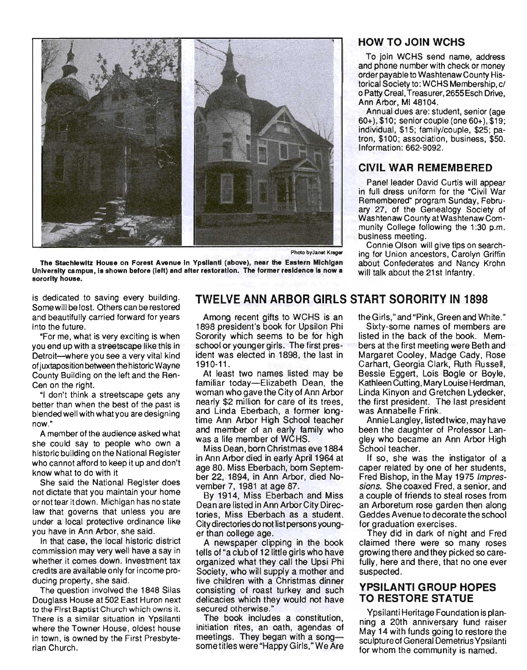

Photo byJanet Kreger

The Stachlewltz House on Forest Avenue In Ypsilanti (above), near the Eastern Michigan University campus, Is shown before (left) and after restoration. The former residence Is now a sorority house.

is dedicated to saving every building. Some will be lost. Others can be restored and beautifully carried forward for years into the future.

"For me, what is very exciting is when you end up with a streetscape like this in Detroit--where you see a very vital kind of juxtaposition between the historic Wayne County Building on the left and the Ren-Cen on the right.

"I don't think a streetscape gets any better than when the best of the past is blended well with what you are designing now."

A member of the audience asked what she could say to people who own a historic building on the National Register who cannot afford to keep it up and don't know what to do with it

She said the National Register does not dictate that you maintain your home or not tear it down. Michigan has no state law that governs that unless you are under a local protective ordinance like you have in Ann Arbor, she said.

In that case, the local historic district commission may very well have a say in whether it comes down. Investment tax credits are available only for income producing property, she said.

The question involved the 1848 Silas Douglass House at 502 East Huron next to the First Baptist Church which owns it. There is a similar situation in Ypsilanti where the Towner House, oldest house in town, is owned by the First Presbyterian Church.

## **TWELVE ANN ARBOR GIRLS START SORORITY IN 1898**

Among recent gifts to WCHS is an 1898 president's book for Upsilon Phi Sorority which seems to be for high school or younger girls. The first president was elected in 1898, the last in 1910-11.

At least two names listed may be familiar today-Elizabeth Dean, the woman who gave the City of Ann Arbor nearly \$2 million for care of its trees, and Linda Eberbach, a former longtime Ann Arbor High School teacher and member of an early family who was a life member of WCHS.

Miss Dean, born Christmas eve 1884 in Ann Arbor died in early April 1964 at age 80. Miss Eberbach, born September 22, 1894, in Ann Arbor, died November 7, 1981 at age 87.

By 1914, Miss Eberbach and Miss Dean are listed in Ann Arbor City Directories, Miss Eberbach as a student. City directories do not list persons younger than college age.

A newspaper clipping in the book tells of "a club of 12 little girls who have organized what they call the Upsi Phi Society, who will supply a mother and five children with a Christmas dinner consisting of roast turkey and such delicacies which they would not have secured otherwise.

The book includes a constitution, initiation rites, an oath, agendas of meetings. They began with a songsome titles were "Happy Girls, "We Are

#### **HOW TO JOIN WCHS**

To join WCHS send name, address and phone number with check or money order payable to Washtenaw County Historical Society to: WCHS Membership, c/ o Patty Creal, Treasurer,2655Esch Drive, Ann Arbor, MI 48104.

Annual dues are: student, senior (age 60+), \$10; senior couple (one 60+), \$19; individual, \$15; family/couple, \$25; patron, \$100; association, business, \$50. Information: 662-9092.

#### **CIVIL WAR REMEMBERED**

Panel leader David Curtis will appear in full dress uniform for the "Civil War Remembered" program Sunday, February 27, of the Genealogy Society of Washtenaw County at Washtenaw Community College following the 1:30 p.m. business meeting.

Connie Olson will give tips on searching for Union ancestors, Carolyn Griffin about Confederates and Nancy Krohn will talk about the 21st Infantry.

theGirls," and "Pink, Green and White."

Sixty-some names of members are listed in the back of the book. Members at the first meeting were Beth and Margaret Cooley, Madge Cady, Rose Carhart, Georgia Clark, Ruth Russell, Bessie Eggert, Lois Bogle or Boyle, Kathleen Cutting, Mary Louise Herdman, Linda Kinyon and Gretchen Lydecker, the first president. The last president was Annabelle Frink.

Annie Langley, listed twice , may have been the daughter of Professor Langley who became an Ann Arbor High School teacher.

If so, she was the instigator of a caper related by one of her students, Fred Bishop, in the May 1975 Impressions. She coaxed Fred, a senior, and a couple of friends to steal roses from an Arboretum rose garden then along Geddes Avenue to decorate the school for graduation exercises.

They did in dark of night and Fred claimed there were so many roses growing there and they picked so carefully, here and there, that no one ever suspected.

#### **YPSILANTI GROUP HOPES TO RESTORE STATUE**

Ypsilanti Heritage Foundation is planning a 20th anniversary fund raiser May 14 with funds going to restore the sculptureof General Demetrius Ypsilanti for whom the community is named.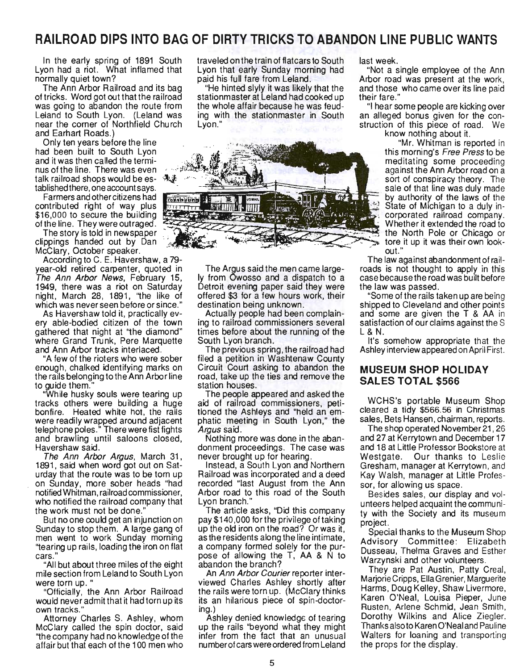# **RAILROAD DIPS INTO BAG OF DIRTY TRICKS TO ABANDON LINE PUBLIC WANTS**

In the early spring of 1891 South Lyon had a riot. What inflamed that normally quiet town?

The Ann Arbor Railroad and its bag of tricks. Word got out that the railroad was going to abandon the route from Leland to South Lyon. (Leland was near the corner of Northfield Church and Earhart Roads.)

Only ten years before the line had been built to South Lyon and it was then called the terminus of the line. There was even talk railroad shops would be es- 佛家

contributed right of way plus \$16,000 to secure the building<br>of the line. They were outraged.<br>The story is told in newspaper

clippings handed out by Dan McClary, October speaker.

According to C. E. Havershaw, a 79 year-old retired carpenter, quoted in The Ann Arbor News, February 15, 1949, there was a riot on Saturday night, March 28, 1891, "the like of which was never seen before or since."

As Havershaw told it, practically every able-bodied citizen of the town gathered that night at '1he diamond" where Grand Trunk, Pere Marquette and Ann Arbor tracks interlaced .

"A few of the rioters who were sober enough, chalked identifying marks on the rails belonging to the Ann Arbor line to quide them."

"While husky souls were tearing up tracks others were building a huge bonfire. Heated white hot, the rails were readily wrapped around adjacent telephone poles." There were fist fights and brawling until saloons closed, Havershaw said.

The Ann Arbor Argus, March 31, 1891, said when word got out on Saturday that the route was to be torn up . on Sunday, more sober heads "had notified Whitman, railroad commissioner, who notified the railroad company that the work must not be done."

But no one could get an injunction on Sunday to stop them. A large gang of men went to work Sunday morning ''tearing up rails, loading the iron on flat cars.

"All but about three miles of the eight mile section from Leland to South Lyon were torn up. "

"Officially, the Ann Arbor Railroad would never admit that it had torn up its own tracks."

Attorney Charles S. Ashley, whom McClary called the spin doctor, said ''the company had no knowledge of the affair but that each of the 100 men who

traveled on the train of flatcars to South Lyon that early Sunday morning had paid his full fare from Leland.

"He hinted slyly it was likely that the stationmaster at Leland had cooked up the whole affair because he was feud ing with the stationmaster in South Lyon."



The Argus said the men came largely from Owosso and a dispatch to a Detroit evening paper said they were offered \$3 for a few hours work, their destination being unknown.

Actually people had been complaining to railroad commissioners several times before about the running of the South Lyon branch.

The previous spring, the railroad had filed a petition in Washtenaw County Circuit Court asking to abandon the road, take up the ties and remove the station houses.

The people appeared and asked the aid of railroad commissioners, petitioned the Ashleys and "held an emphatic meeting in South Lyon," the Argus said.

Nothing more was done in the abandonment proceedings. The case was never brought up for hearing.

Instead, a South Lyon and Northern Railroad was incorporated and a deed recorded "last August from the Ann Arbor road to this road of the South Lyon branch."

The article asks, "Did this company pay \$140 ,000 for the privilege of taking up the old iron on the road? Or was it, as the residents along the line intimate, a company formed solely for the purpose of allowing the T, AA & N to abandon the branch?

An Ann Arbor Courier reporter interviewed Charles Ashley shortly after the rails were torn up. (McClary thinks its an hilarious piece of spin-doctoring.)

Ashley denied knowledge of tearing up the rails "beyond what they might infer from the fact that an unusual number of cars were ordered from Leland last week.

"Not a single employee of the Ann Arbor road was present at the work, and those who came over its line paid their fare."

"I hear some people are kicking over an alleged bonus given for the construction of this piece of road. We

know nothing about it.

"Mr. Whitman is reported in this morning's Free Press to be meditating some proceeding against the Ann Arbor road on a sort of conspiracy theory. The sale of that line was duly made by authority of the laws of the State of Michigan to a duly incorporated railroad company. Whether it extended the road to the North Pole or Chicago or tore it up it was their own lookout."

The law against abandonment of railroads is not thought to apply in this case because the road was built before the law was passed.

"Some of the rails taken up are being shipped to Cleveland and other points and some are given the T & AA in satisfaction of our claims against the S L& N.

It's somehow appropriate that the Ashley interview appeared on April First.

#### **MUSEUM SHOP HOLIDAY SALES TOTAL \$566**

WCHS's portable Museum Shop cleared a tidy \$566.56 in Christmas sales, Bets Hansen, chairman, reports.

The shop operated November 21 , 26 and 27 at Kerrytown and December 17 and 18 at Little Professor Bookstore at Westgate. Our thanks to Leslie Gresham, manager at Kerrytown, and Kay Walsh, manager at Little Professor, for allowing us space.

Besides sales, our display and volunteers helped acquaint the community with the Society and its museum project.

Special thanks to the Museum Shop Advisory Committee: Elizabeth Dusseau, Thelma Graves and Esther Warzynski and other volunteers.

They are Pat Austin, Patty Creal, Marjorie Cripps, Ella Grenier, Marguerite Harms, Doug Kelley, Shaw Livermore, Karen O'Neal, Louisa Pieper, June Rusten, Arlene Schmid, Jean Smith, Dorothy Wilkins and Alice Ziegler. Thanks also to Karen O'Neal and Pau line Walters for loaning and transporting the props for the display.